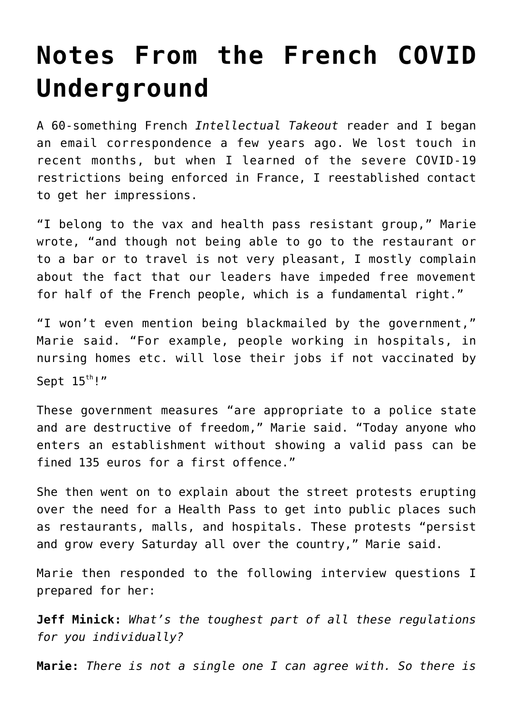## **[Notes From the French COVID](https://intellectualtakeout.org/2021/08/notes-from-the-french-covid-underground/) [Underground](https://intellectualtakeout.org/2021/08/notes-from-the-french-covid-underground/)**

A 60-something French *Intellectual Takeout* reader and I began an email correspondence a few years ago. We lost touch in recent months, but when I learned of the severe COVID-19 restrictions being enforced in France, I reestablished contact to get her impressions.

"I belong to the vax and health pass resistant group," Marie wrote, "and though not being able to go to the restaurant or to a bar or to travel is not very pleasant, I mostly complain about the fact that our leaders have impeded free movement for half of the French people, which is a fundamental right."

"I won't even mention being blackmailed by the government," Marie said. "For example, people working in hospitals, in nursing homes etc. will lose their jobs if not vaccinated by Sept  $15^{th}$ !"

These government measures "are appropriate to a police state and are destructive of freedom," Marie said. "Today anyone who enters an establishment without showing a valid pass can be fined 135 euros for a first offence."

She then went on to explain about the street protests erupting over the need for a Health Pass to get into public places such as restaurants, malls, and hospitals. These protests "persist and grow every Saturday all over the country," Marie said.

Marie then responded to the following interview questions I prepared for her:

**Jeff Minick:** *What's the toughest part of all these regulations for you individually?*

**Marie:** *There is not a single one I can agree with. So there is*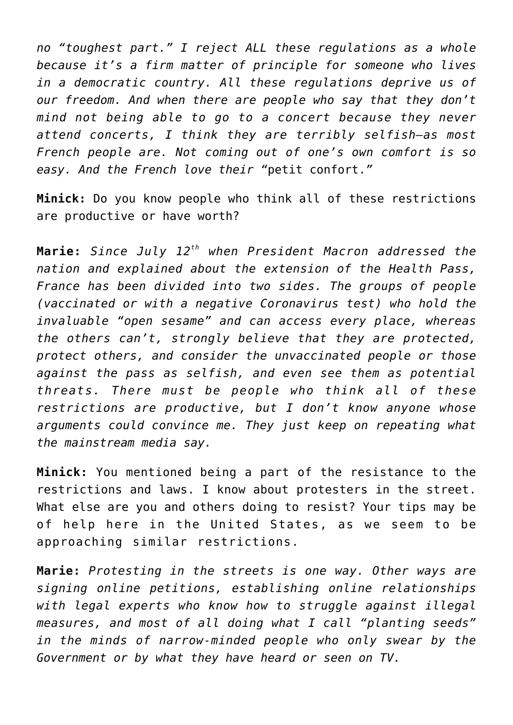*no "toughest part." I reject ALL these regulations as a whole because it's a firm matter of principle for someone who lives in a democratic country. All these regulations deprive us of our freedom. And when there are people who say that they don't mind not being able to go to a concert because they never attend concerts, I think they are terribly selfish—as most French people are. Not coming out of one's own comfort is so easy. And the French love their "*petit confort.*"*

**Minick:** Do you know people who think all of these restrictions are productive or have worth?

**Marie:** *Since July 12th when President Macron addressed the nation and explained about the extension of the Health Pass, France has been divided into two sides. The groups of people (vaccinated or with a negative Coronavirus test) who hold the invaluable "open sesame" and can access every place, whereas the others can't, strongly believe that they are protected, protect others, and consider the unvaccinated people or those against the pass as selfish, and even see them as potential threats. There must be people who think all of these restrictions are productive, but I don't know anyone whose arguments could convince me. They just keep on repeating what the mainstream media say.* 

**Minick:** You mentioned being a part of the resistance to the restrictions and laws. I know about protesters in the street. What else are you and others doing to resist? Your tips may be of help here in the United States, as we seem to be approaching similar restrictions.

**Marie:** *Protesting in the streets is one way. Other ways are signing online petitions, establishing online relationships with legal experts who know how to struggle against illegal measures, and most of all doing what I call "planting seeds" in the minds of narrow-minded people who only swear by the Government or by what they have heard or seen on TV.*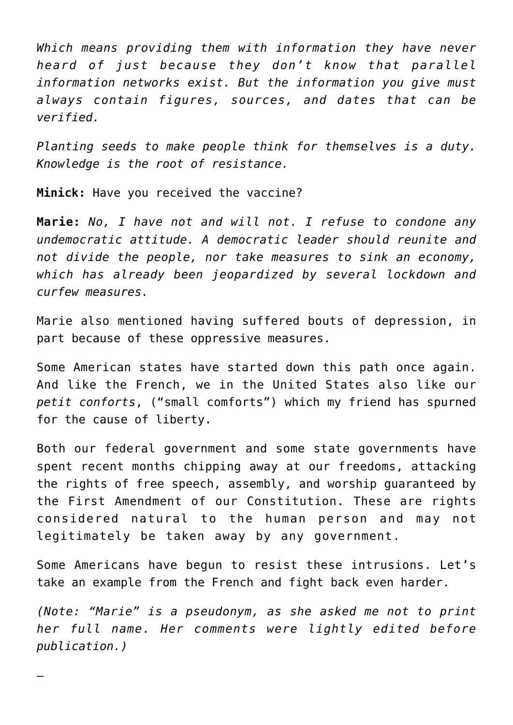*Which means providing them with information they have never heard of just because they don't know that parallel information networks exist. But the information you give must always contain figures, sources, and dates that can be verified.*

*Planting seeds to make people think for themselves is a duty. Knowledge is the root of resistance.*

**Minick:** Have you received the vaccine?

—

**Marie:** *No, I have not and will not. I refuse to condone any undemocratic attitude. A democratic leader should reunite and not divide the people, nor take measures to sink an economy, which has already been jeopardized by several lockdown and curfew measures.*

Marie also mentioned having suffered bouts of depression, in part because of these oppressive measures.

Some American states have started down this path once again. And like the French, we in the United States also like our *petit conforts*, ("small comforts") which my friend has spurned for the cause of liberty.

Both our federal government and some state governments have spent recent months chipping away at our freedoms, attacking the rights of free speech, assembly, and worship guaranteed by the First Amendment of our Constitution. These are rights considered natural to the human person and may not legitimately be taken away by any government.

Some Americans have begun to resist these intrusions. Let's take an example from the French and fight back even harder.

*(Note: "Marie" is a pseudonym, as she asked me not to print her full name. Her comments were lightly edited before publication.)*